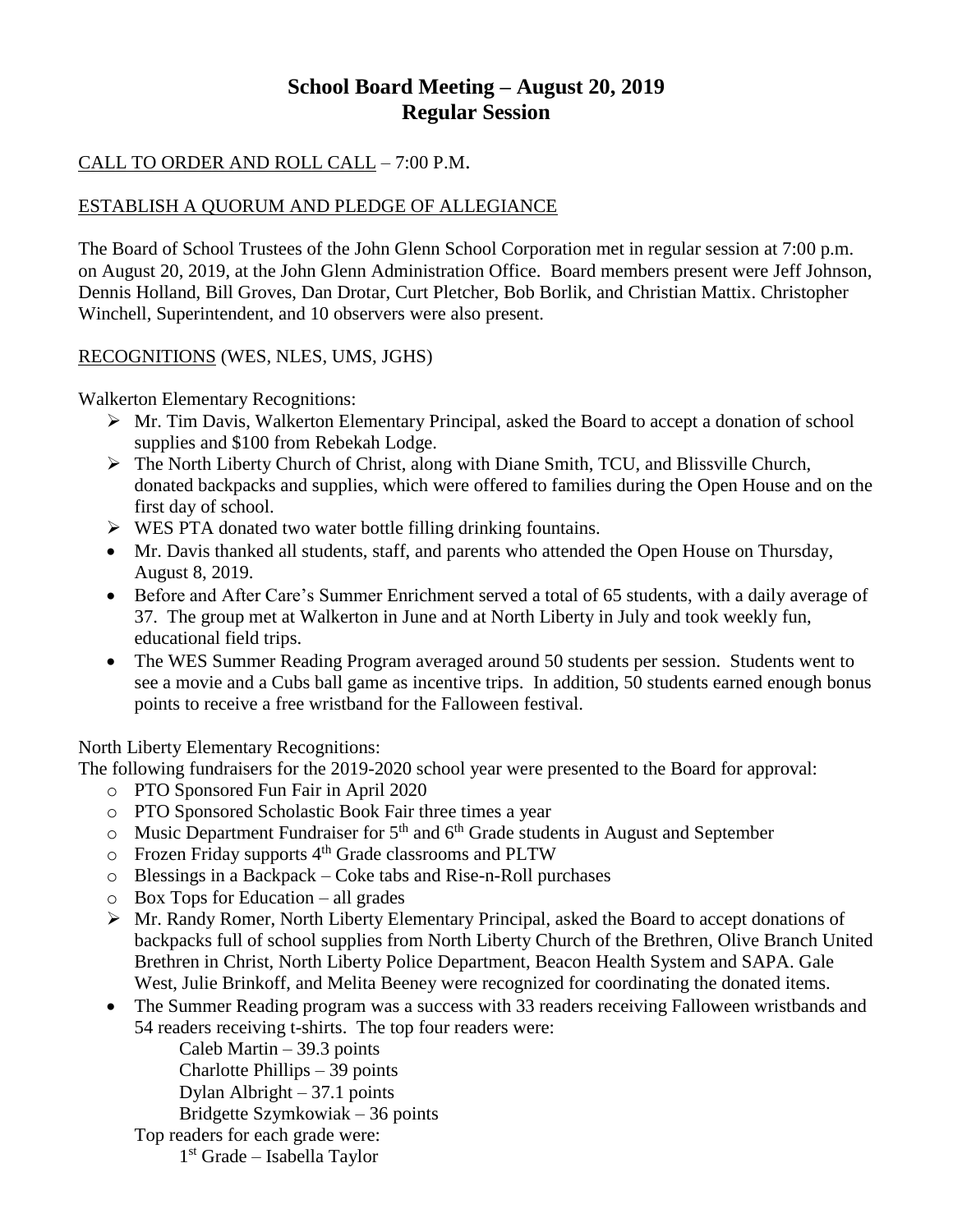# **School Board Meeting – August 20, 2019 Regular Session**

### CALL TO ORDER AND ROLL CALL – 7:00 P.M.

### ESTABLISH A QUORUM AND PLEDGE OF ALLEGIANCE

The Board of School Trustees of the John Glenn School Corporation met in regular session at 7:00 p.m. on August 20, 2019, at the John Glenn Administration Office. Board members present were Jeff Johnson, Dennis Holland, Bill Groves, Dan Drotar, Curt Pletcher, Bob Borlik, and Christian Mattix. Christopher Winchell, Superintendent, and 10 observers were also present.

#### RECOGNITIONS (WES, NLES, UMS, JGHS)

Walkerton Elementary Recognitions:

- Mr. Tim Davis, Walkerton Elementary Principal, asked the Board to accept a donation of school supplies and \$100 from Rebekah Lodge.
- The North Liberty Church of Christ, along with Diane Smith, TCU, and Blissville Church, donated backpacks and supplies, which were offered to families during the Open House and on the first day of school.
- $\triangleright$  WES PTA donated two water bottle filling drinking fountains.
- Mr. Davis thanked all students, staff, and parents who attended the Open House on Thursday, August 8, 2019.
- Before and After Care's Summer Enrichment served a total of 65 students, with a daily average of 37. The group met at Walkerton in June and at North Liberty in July and took weekly fun, educational field trips.
- The WES Summer Reading Program averaged around 50 students per session. Students went to see a movie and a Cubs ball game as incentive trips. In addition, 50 students earned enough bonus points to receive a free wristband for the Falloween festival.

North Liberty Elementary Recognitions:

The following fundraisers for the 2019-2020 school year were presented to the Board for approval:

- o PTO Sponsored Fun Fair in April 2020
- o PTO Sponsored Scholastic Book Fair three times a year
- $\circ$  Music Department Fundraiser for 5<sup>th</sup> and 6<sup>th</sup> Grade students in August and September
- o Frozen Friday supports 4th Grade classrooms and PLTW
- o Blessings in a Backpack Coke tabs and Rise-n-Roll purchases
- o Box Tops for Education all grades
- Mr. Randy Romer, North Liberty Elementary Principal, asked the Board to accept donations of backpacks full of school supplies from North Liberty Church of the Brethren, Olive Branch United Brethren in Christ, North Liberty Police Department, Beacon Health System and SAPA. Gale West, Julie Brinkoff, and Melita Beeney were recognized for coordinating the donated items.
- The Summer Reading program was a success with 33 readers receiving Falloween wristbands and 54 readers receiving t-shirts. The top four readers were:

Caleb Martin – 39.3 points Charlotte Phillips – 39 points

Dylan Albright – 37.1 points

Bridgette Szymkowiak – 36 points

Top readers for each grade were:

1 st Grade – Isabella Taylor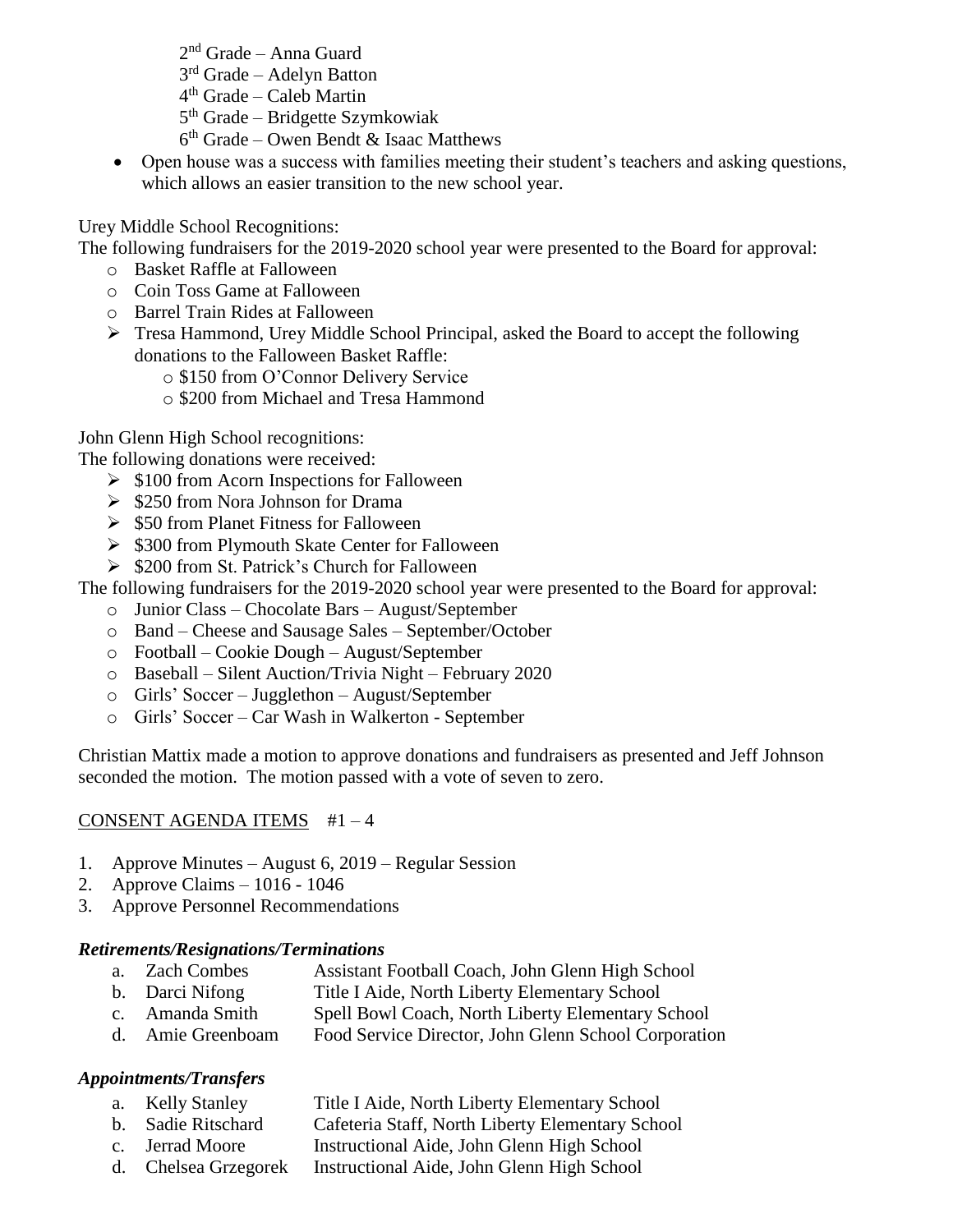- 2 nd Grade Anna Guard
- 3<sup>rd</sup> Grade Adelyn Batton
- 4 th Grade Caleb Martin
- 5<sup>th</sup> Grade Bridgette Szymkowiak
- 6 th Grade Owen Bendt & Isaac Matthews
- Open house was a success with families meeting their student's teachers and asking questions, which allows an easier transition to the new school year.

# Urey Middle School Recognitions:

The following fundraisers for the 2019-2020 school year were presented to the Board for approval:

- o Basket Raffle at Falloween
- o Coin Toss Game at Falloween
- o Barrel Train Rides at Falloween
- Tresa Hammond, Urey Middle School Principal, asked the Board to accept the following donations to the Falloween Basket Raffle:
	- o \$150 from O'Connor Delivery Service
	- o \$200 from Michael and Tresa Hammond

John Glenn High School recognitions:

The following donations were received:

- $\geq$  \$100 from Acorn Inspections for Falloween
- $\geq$  \$250 from Nora Johnson for Drama
- $\geq$  \$50 from Planet Fitness for Falloween
- $\geq$  \$300 from Plymouth Skate Center for Falloween
- $\geq$  \$200 from St. Patrick's Church for Falloween

The following fundraisers for the 2019-2020 school year were presented to the Board for approval:

- o Junior Class Chocolate Bars August/September
- o Band Cheese and Sausage Sales September/October
- o Football Cookie Dough August/September
- o Baseball Silent Auction/Trivia Night February 2020
- o Girls' Soccer Jugglethon August/September
- o Girls' Soccer Car Wash in Walkerton September

Christian Mattix made a motion to approve donations and fundraisers as presented and Jeff Johnson seconded the motion. The motion passed with a vote of seven to zero.

# CONSENT AGENDA ITEMS #1 – 4

- 1. Approve Minutes August 6, 2019 Regular Session
- 2. Approve Claims 1016 1046
- 3. Approve Personnel Recommendations

### *Retirements/Resignations/Terminations*

- a. Zach Combes Assistant Football Coach, John Glenn High School
- b. Darci Nifong Title I Aide, North Liberty Elementary School
- c. Amanda Smith Spell Bowl Coach, North Liberty Elementary School<br>d. Amie Greenboam Food Service Director. John Glenn School Corporation
- Food Service Director, John Glenn School Corporation

# *Appointments/Transfers*

- a. Kelly Stanley Title I Aide, North Liberty Elementary School
- b. Sadie Ritschard Cafeteria Staff, North Liberty Elementary School
- c. Jerrad Moore Instructional Aide, John Glenn High School
- d. Chelsea Grzegorek Instructional Aide, John Glenn High School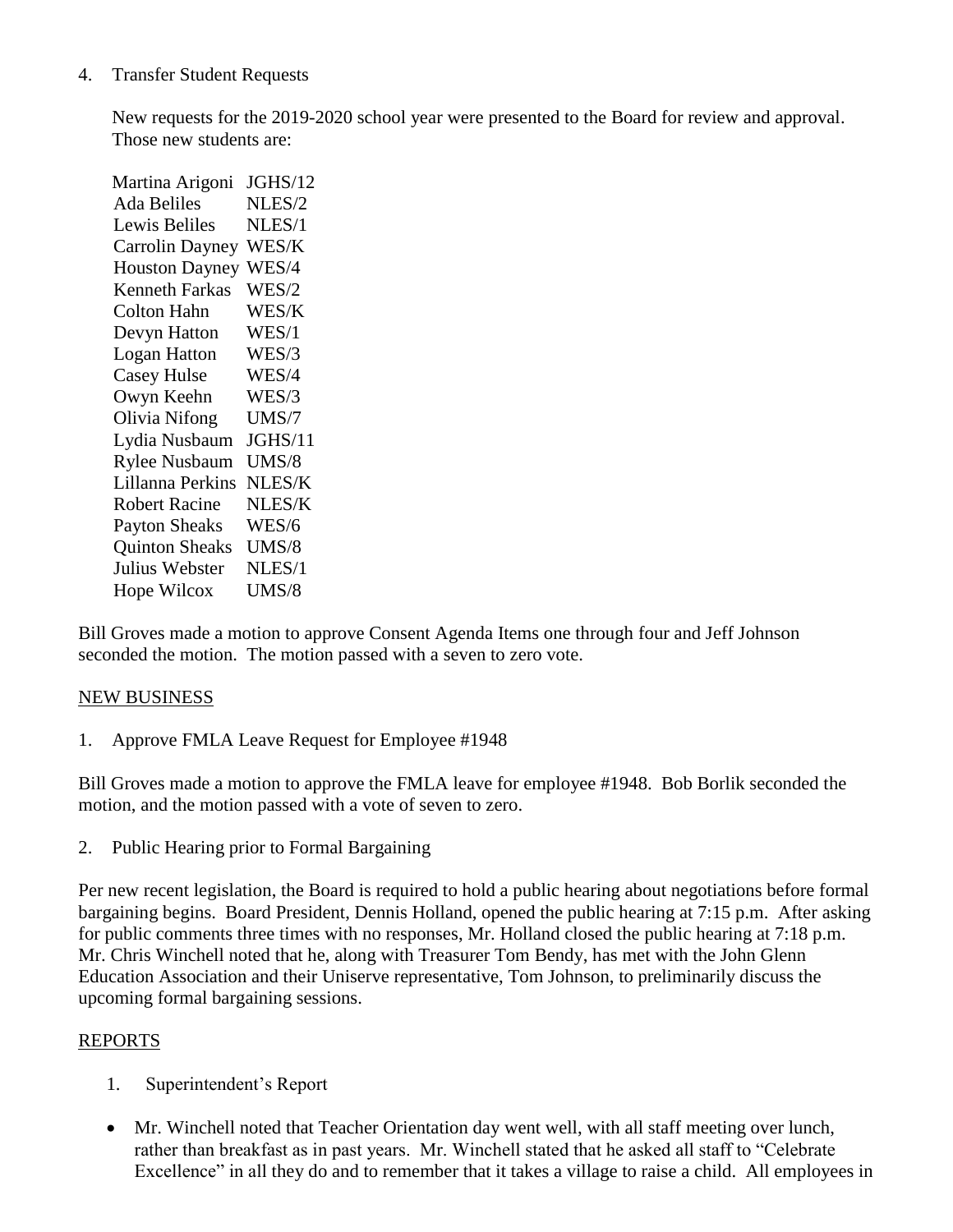#### 4. Transfer Student Requests

New requests for the 2019-2020 school year were presented to the Board for review and approval. Those new students are:

Martina Arigoni JGHS/12 Ada Beliles NLES/2 Lewis Beliles NLES/1 Carrolin Dayney WES/K Houston Dayney WES/4 Kenneth Farkas WES/2 Colton Hahn WES/K Devyn Hatton WES/1 Logan Hatton WES/3 Casey Hulse WES/4 Owyn Keehn WES/3 Olivia Nifong UMS/7 Lydia Nusbaum JGHS/11 Rylee Nusbaum UMS/8 Lillanna Perkins NLES/K Robert Racine NLES/K Payton Sheaks WES/6 Quinton Sheaks UMS/8 Julius Webster NLES/1 Hope Wilcox UMS/8

Bill Groves made a motion to approve Consent Agenda Items one through four and Jeff Johnson seconded the motion. The motion passed with a seven to zero vote.

#### NEW BUSINESS

1. Approve FMLA Leave Request for Employee #1948

Bill Groves made a motion to approve the FMLA leave for employee #1948. Bob Borlik seconded the motion, and the motion passed with a vote of seven to zero.

2. Public Hearing prior to Formal Bargaining

Per new recent legislation, the Board is required to hold a public hearing about negotiations before formal bargaining begins. Board President, Dennis Holland, opened the public hearing at 7:15 p.m. After asking for public comments three times with no responses, Mr. Holland closed the public hearing at 7:18 p.m. Mr. Chris Winchell noted that he, along with Treasurer Tom Bendy, has met with the John Glenn Education Association and their Uniserve representative, Tom Johnson, to preliminarily discuss the upcoming formal bargaining sessions.

#### REPORTS

- 1. Superintendent's Report
- Mr. Winchell noted that Teacher Orientation day went well, with all staff meeting over lunch, rather than breakfast as in past years. Mr. Winchell stated that he asked all staff to "Celebrate Excellence" in all they do and to remember that it takes a village to raise a child. All employees in